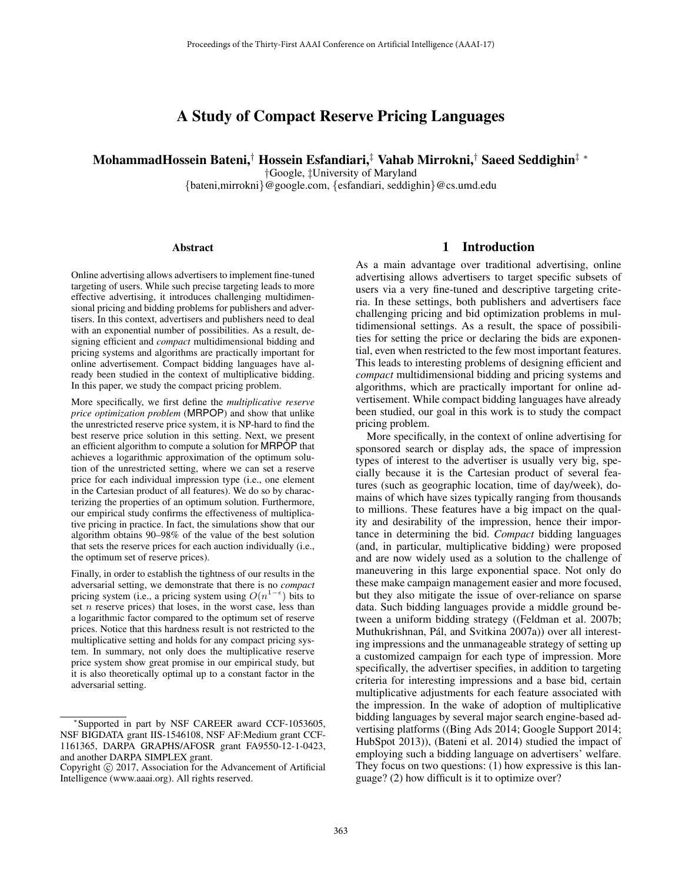# A Study of Compact Reserve Pricing Languages

MohammadHossein Bateni,† Hossein Esfandiari,‡ Vahab Mirrokni,† Saeed Seddighin‡ ∗

†Google, ‡University of Maryland

{bateni,mirrokni}@google.com, {esfandiari, seddighin}@cs.umd.edu

#### Abstract

Online advertising allows advertisers to implement fine-tuned targeting of users. While such precise targeting leads to more effective advertising, it introduces challenging multidimensional pricing and bidding problems for publishers and advertisers. In this context, advertisers and publishers need to deal with an exponential number of possibilities. As a result, designing efficient and *compact* multidimensional bidding and pricing systems and algorithms are practically important for online advertisement. Compact bidding languages have already been studied in the context of multiplicative bidding. In this paper, we study the compact pricing problem.

More specifically, we first define the *multiplicative reserve price optimization problem* (MRPOP) and show that unlike the unrestricted reserve price system, it is NP-hard to find the best reserve price solution in this setting. Next, we present an efficient algorithm to compute a solution for MRPOP that achieves a logarithmic approximation of the optimum solution of the unrestricted setting, where we can set a reserve price for each individual impression type (i.e., one element in the Cartesian product of all features). We do so by characterizing the properties of an optimum solution. Furthermore, our empirical study confirms the effectiveness of multiplicative pricing in practice. In fact, the simulations show that our algorithm obtains 90–98% of the value of the best solution that sets the reserve prices for each auction individually (i.e., the optimum set of reserve prices).

Finally, in order to establish the tightness of our results in the adversarial setting, we demonstrate that there is no *compact* pricing system (i.e., a pricing system using  $O(n^{1-\epsilon})$  bits to set  $n$  reserve prices) that loses, in the worst case, less than a logarithmic factor compared to the optimum set of reserve prices. Notice that this hardness result is not restricted to the multiplicative setting and holds for any compact pricing system. In summary, not only does the multiplicative reserve price system show great promise in our empirical study, but it is also theoretically optimal up to a constant factor in the adversarial setting.

# 1 Introduction

As a main advantage over traditional advertising, online advertising allows advertisers to target specific subsets of users via a very fine-tuned and descriptive targeting criteria. In these settings, both publishers and advertisers face challenging pricing and bid optimization problems in multidimensional settings. As a result, the space of possibilities for setting the price or declaring the bids are exponential, even when restricted to the few most important features. This leads to interesting problems of designing efficient and *compact* multidimensional bidding and pricing systems and algorithms, which are practically important for online advertisement. While compact bidding languages have already been studied, our goal in this work is to study the compact pricing problem.

More specifically, in the context of online advertising for sponsored search or display ads, the space of impression types of interest to the advertiser is usually very big, specially because it is the Cartesian product of several features (such as geographic location, time of day/week), domains of which have sizes typically ranging from thousands to millions. These features have a big impact on the quality and desirability of the impression, hence their importance in determining the bid. *Compact* bidding languages (and, in particular, multiplicative bidding) were proposed and are now widely used as a solution to the challenge of maneuvering in this large exponential space. Not only do these make campaign management easier and more focused, but they also mitigate the issue of over-reliance on sparse data. Such bidding languages provide a middle ground between a uniform bidding strategy ((Feldman et al. 2007b; Muthukrishnan, Pál, and Svitkina 2007a)) over all interesting impressions and the unmanageable strategy of setting up a customized campaign for each type of impression. More specifically, the advertiser specifies, in addition to targeting criteria for interesting impressions and a base bid, certain multiplicative adjustments for each feature associated with the impression. In the wake of adoption of multiplicative bidding languages by several major search engine-based advertising platforms ((Bing Ads 2014; Google Support 2014; HubSpot 2013)), (Bateni et al. 2014) studied the impact of employing such a bidding language on advertisers' welfare. They focus on two questions: (1) how expressive is this language? (2) how difficult is it to optimize over?

<sup>∗</sup>Supported in part by NSF CAREER award CCF-1053605, NSF BIGDATA grant IIS-1546108, NSF AF:Medium grant CCF-1161365, DARPA GRAPHS/AFOSR grant FA9550-12-1-0423, and another DARPA SIMPLEX grant.

Copyright  $\odot$  2017, Association for the Advancement of Artificial Intelligence (www.aaai.org). All rights reserved.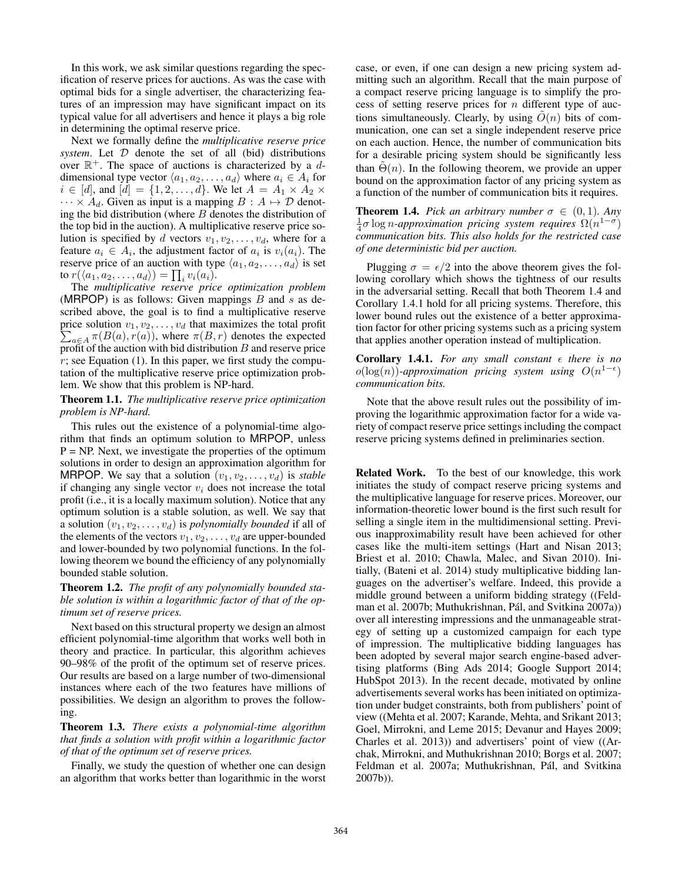In this work, we ask similar questions regarding the specification of reserve prices for auctions. As was the case with optimal bids for a single advertiser, the characterizing features of an impression may have significant impact on its typical value for all advertisers and hence it plays a big role in determining the optimal reserve price.

Next we formally define the *multiplicative reserve price system*. Let D denote the set of all (bid) distributions over  $\mathbb{R}^+$ . The space of auctions is characterized by a ddimensional type vector  $\langle a_1, a_2, \ldots, a_d \rangle$  where  $a_i \in A_i$  for  $i \in [d]$ , and  $[d] = \{1, 2, \ldots, d\}$ . We let  $A = A_1 \times A_2 \times$  $\cdots \times A_d$ . Given as input is a mapping  $B : A \mapsto \mathcal{D}$  denoting the bid distribution (where  $B$  denotes the distribution of the top bid in the auction). A multiplicative reserve price solution is specified by d vectors  $v_1, v_2, \ldots, v_d$ , where for a feature  $a_i \in A_i$ , the adjustment factor of  $a_i$  is  $v_i(a_i)$ . The reserve price of an auction with type  $\langle a_1, a_2, \ldots, a_d \rangle$  is set to  $r(\langle a_1, a_2, \ldots, a_d \rangle) = \prod_i v_i(a_i)$ .<br>The multiplicative reserve pric

The *multiplicative reserve price optimization problem* (MRPOP) is as follows: Given mappings  $B$  and  $s$  as described above, the goal is to find a multiplicative reserve price solution  $v_1, v_2, \ldots, v_d$  that maximizes the total profit  $\sum_{a \in A} \pi(B(a), r(a))$ , where  $\pi(B, r)$  denotes the expected<br>profit of the auction with bid distribution B and reserve price profit of the auction with bid distribution  $B$  and reserve price  $r$ ; see Equation (1). In this paper, we first study the computation of the multiplicative reserve price optimization problem. We show that this problem is NP-hard.

#### Theorem 1.1. *The multiplicative reserve price optimization problem is NP-hard.*

This rules out the existence of a polynomial-time algorithm that finds an optimum solution to MRPOP, unless  $P = NP$ . Next, we investigate the properties of the optimum solutions in order to design an approximation algorithm for MRPOP. We say that a solution  $(v_1, v_2, \ldots, v_d)$  is *stable* if changing any single vector  $v_i$  does not increase the total profit (i.e., it is a locally maximum solution). Notice that any optimum solution is a stable solution, as well. We say that a solution  $(v_1, v_2, \ldots, v_d)$  is *polynomially bounded* if all of the elements of the vectors  $v_1, v_2, \ldots, v_d$  are upper-bounded and lower-bounded by two polynomial functions. In the following theorem we bound the efficiency of any polynomially bounded stable solution.

Theorem 1.2. *The profit of any polynomially bounded stable solution is within a logarithmic factor of that of the optimum set of reserve prices.*

Next based on this structural property we design an almost efficient polynomial-time algorithm that works well both in theory and practice. In particular, this algorithm achieves 90–98% of the profit of the optimum set of reserve prices. Our results are based on a large number of two-dimensional instances where each of the two features have millions of possibilities. We design an algorithm to proves the following.

Theorem 1.3. *There exists a polynomial-time algorithm that finds a solution with profit within a logarithmic factor of that of the optimum set of reserve prices.*

Finally, we study the question of whether one can design an algorithm that works better than logarithmic in the worst

case, or even, if one can design a new pricing system admitting such an algorithm. Recall that the main purpose of a compact reserve pricing language is to simplify the process of setting reserve prices for  $n$  different type of auctions simultaneously. Clearly, by using  $\tilde{O}(n)$  bits of communication, one can set a single independent reserve price on each auction. Hence, the number of communication bits for a desirable pricing system should be significantly less than  $\Theta(n)$ . In the following theorem, we provide an upper bound on the approximation factor of any pricing system as a function of the number of communication bits it requires.

**Theorem 1.4.** *Pick an arbitrary number*  $\sigma \in (0,1)$ *. Any*  $\frac{1}{4}$ σ log n-approximation pricing system requires  $\Omega(n^{1-\sigma})$ <br>communication bits This also holds for the restricted case *communication bits. This also holds for the restricted case of one deterministic bid per auction.*

Plugging  $\sigma = \epsilon/2$  into the above theorem gives the following corollary which shows the tightness of our results in the adversarial setting. Recall that both Theorem 1.4 and Corollary 1.4.1 hold for all pricing systems. Therefore, this lower bound rules out the existence of a better approximation factor for other pricing systems such as a pricing system that applies another operation instead of multiplication.

**Corollary 1.4.1.** For any small constant  $\epsilon$  there is no  $o(log(n))$ -approximation pricing system using  $O(n^{1-\epsilon})$ *communication bits.*

Note that the above result rules out the possibility of improving the logarithmic approximation factor for a wide variety of compact reserve price settings including the compact reserve pricing systems defined in preliminaries section.

Related Work. To the best of our knowledge, this work initiates the study of compact reserve pricing systems and the multiplicative language for reserve prices. Moreover, our information-theoretic lower bound is the first such result for selling a single item in the multidimensional setting. Previous inapproximability result have been achieved for other cases like the multi-item settings (Hart and Nisan 2013; Briest et al. 2010; Chawla, Malec, and Sivan 2010). Initially, (Bateni et al. 2014) study multiplicative bidding languages on the advertiser's welfare. Indeed, this provide a middle ground between a uniform bidding strategy ((Feldman et al. 2007b; Muthukrishnan, Pál, and Svitkina 2007a)) over all interesting impressions and the unmanageable strategy of setting up a customized campaign for each type of impression. The multiplicative bidding languages has been adopted by several major search engine-based advertising platforms (Bing Ads 2014; Google Support 2014; HubSpot 2013). In the recent decade, motivated by online advertisements several works has been initiated on optimization under budget constraints, both from publishers' point of view ((Mehta et al. 2007; Karande, Mehta, and Srikant 2013; Goel, Mirrokni, and Leme 2015; Devanur and Hayes 2009; Charles et al. 2013)) and advertisers' point of view ((Archak, Mirrokni, and Muthukrishnan 2010; Borgs et al. 2007; Feldman et al. 2007a; Muthukrishnan, Pál, and Svitkina 2007b)).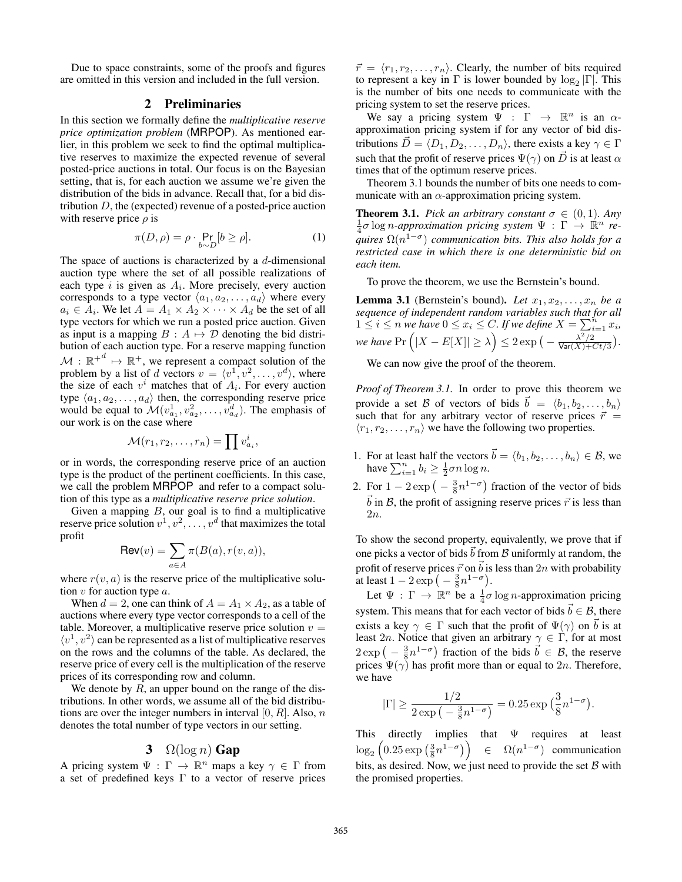Due to space constraints, some of the proofs and figures are omitted in this version and included in the full version.

# 2 Preliminaries

In this section we formally define the *multiplicative reserve price optimization problem* (MRPOP). As mentioned earlier, in this problem we seek to find the optimal multiplicative reserves to maximize the expected revenue of several posted-price auctions in total. Our focus is on the Bayesian setting, that is, for each auction we assume we're given the distribution of the bids in advance. Recall that, for a bid distribution  $D$ , the (expected) revenue of a posted-price auction with reserve price  $\rho$  is

$$
\pi(D,\rho) = \rho \cdot \Pr_{b \sim D}[b \ge \rho]. \tag{1}
$$

The space of auctions is characterized by a  $d$ -dimensional auction type where the set of all possible realizations of each type  $i$  is given as  $A_i$ . More precisely, every auction corresponds to a type vector  $\langle a_1, a_2, \ldots, a_d \rangle$  where every  $a_i \in A_i$ . We let  $A = A_1 \times A_2 \times \cdots \times A_d$  be the set of all type vectors for which we run a posted price auction. Given as input is a mapping  $B : A \mapsto \mathcal{D}$  denoting the bid distribution of each auction type. For a reserve mapping function  $M : \mathbb{R}^d \mapsto \mathbb{R}^+$ , we represent a compact solution of the problem by a list of d vectors  $v = \langle v^1, v^2, w^d \rangle$  where problem by a list of d vectors  $v = \langle v^1, v^2, \dots, v^d \rangle$ , where<br>the size of each  $v^i$  matches that of  $A_i$ . For every auction the size of each  $v^i$  matches that of  $A_i$ . For every auction type  $\langle a_1, a_2, \ldots, a_d \rangle$  then, the corresponding reserve price would be equal to  $\mathcal{M}(v_{a_1}^1, v_{a_2}^2, \dots, v_{a_d}^d)$ . The emphasis of our work is on the case where our work is on the case where

$$
\mathcal{M}(r_1,r_2,\ldots,r_n)=\prod v_{a_i}^i,
$$

or in words, the corresponding reserve price of an auction type is the product of the pertinent coefficients. In this case, we call the problem MRPOP and refer to a compact solution of this type as a *multiplicative reserve price solution*.

Given a mapping  $B$ , our goal is to find a multiplicative reserve price solution  $v^1, v^2, \ldots, v^d$  that maximizes the total profit

$$
\mathsf{Rev}(v) = \sum_{a \in A} \pi(B(a), r(v, a)),
$$

where  $r(v, a)$  is the reserve price of the multiplicative solution  $v$  for auction type  $a$ .

When  $d = 2$ , one can think of  $A = A_1 \times A_2$ , as a table of auctions where every type vector corresponds to a cell of the table. Moreover, a multiplicative reserve price solution  $v =$  $\langle v^1, v^2 \rangle$  can be represented as a list of multiplicative reserves on the rows and the columns of the table. As declared, the reserve price of every cell is the multiplication of the reserve prices of its corresponding row and column.

We denote by  $R$ , an upper bound on the range of the distributions. In other words, we assume all of the bid distributions are over the integer numbers in interval [0,  $R$ ]. Also,  $n$ denotes the total number of type vectors in our setting.

### 3  $\Omega(\log n)$  Gap

A pricing system  $\Psi : \Gamma \to \mathbb{R}^n$  maps a key  $\gamma \in \Gamma$  from a set of predefined keys Γ to a vector of reserve prices

 $\vec{r} = \langle r_1, r_2, \dots, r_n \rangle$ . Clearly, the number of bits required to represent a key in  $\Gamma$  is lower bounded by  $\log_{\theta} |\Gamma|$ . This to represent a key in  $\Gamma$  is lower bounded by  $\log_2 |\Gamma|$ . This is the number of bits one needs to communicate with the pricing system to set the reserve prices.

We say a pricing system  $\Psi : \Gamma \to \mathbb{R}^n$  is an  $\alpha$ approximation pricing system if for any vector of bid distributions  $\vec{D} = \langle D_1, D_2, \dots, D_n \rangle$ , there exists a key  $\gamma \in \Gamma$ such that the profit of reserve prices  $\Psi(\gamma)$  on  $\vec{D}$  is at least  $\alpha$ times that of the optimum reserve prices.

Theorem 3.1 bounds the number of bits one needs to communicate with an  $\alpha$ -approximation pricing system.

**Theorem 3.1.** *Pick an arbitrary constant*  $\sigma \in (0,1)$ *. Any*  $\frac{1}{4}$ σ log *n*-approximation pricing system  $\Psi : Γ → ℝ<sup>n</sup>$  re-<br>auires O(n<sup>1-σ</sup>) communication bits. This also holds for a *quires*  $\Omega(n^{1-\sigma})$  *communication bits. This also holds for a restricted case in which there is one deterministic bid on each item.*

To prove the theorem, we use the Bernstein's bound.

**Lemma 3.1** (Bernstein's bound). Let  $x_1, x_2, \ldots, x_n$  be a *sequence of independent random variables such that for all*  $1 \leq i \leq n$  we have  $0 \leq x_i \leq C$ . If we define  $X = \sum_{i=1}^{n} x_i$ , *we have*  $Pr\left(|X - E[X]| \ge \lambda\right) \le 2 \exp\left(-\frac{\lambda^2/2}{\text{Var}(X) + Ct/3}\right).$ 

We can now give the proof of the theorem.

*Proof of Theorem 3.1.* In order to prove this theorem we provide a set B of vectors of bids  $\vec{b} = \langle b_1, b_2, \dots, b_n \rangle$ <br>such that for any arbitrary vector of reserve prices  $\vec{r}$ such that for any arbitrary vector of reserve prices  $\vec{r}$  =  $\langle r_1, r_2, \ldots, r_n \rangle$  we have the following two properties.

- 1. For at least half the vectors  $\vec{b} = \langle b_1, b_2, \dots, b_n \rangle \in \mathcal{B}$ , we have  $\sum_{i=1}^{n} b_i > \frac{1}{2} \sigma n \log n$ have  $\sum_{i=1}^{n} b_i \geq \frac{1}{2} \sigma n \log n$ .
- 2. For  $1 2 \exp\left(-\frac{3}{8}n^{1-\sigma}\right)$  fraction of the vector of bids  $\vec{b}$  in  $\vec{B}$ , the profit of assigning reserve prices  $\vec{r}$  is less than 2n.

To show the second property, equivalently, we prove that if one picks a vector of bids  $\vec{b}$  from  $\beta$  uniformly at random, the profit of reserve prices  $\vec{r}$  on  $\vec{b}$  is less than 2n with probability at least  $1 - 2 \exp\left(-\frac{3}{8}n^{1-\sigma}\right)$ .

Let  $\Psi : \Gamma \to \mathbb{R}^n$  be a  $\frac{1}{4}\sigma \log n$ -approximation pricing system. This means that for each vector of bids  $\vec{b} \in \mathcal{B}$ , there exists a key  $\gamma \in \Gamma$  such that the profit of  $\Psi(\gamma)$  on  $\vec{b}$  is at least 2n. Notice that given an arbitrary  $\gamma \in \Gamma$ , for at most  $2 \exp \left(-\frac{3}{8}n^{1-\sigma}\right)$  fraction of the bids  $\vec{b} \in \mathcal{B}$ , the reserve prices  $\Psi(\gamma)$  has profit more than or equal to 2n. Therefore, we have

$$
|\Gamma|\geq \frac{1/2}{2\exp\left(-\frac{3}{8}n^{1-\sigma}\right)}=0.25\exp\big(\frac{3}{8}n^{1-\sigma}\big).
$$

This directly implies that Ψ requires at least  $\frac{\log_2}{\log_2}$  $\left(0.25 \exp\left(\frac{3}{8}n^{1-\sigma}\right)\right) \in \Omega(n^{1-\sigma})$  communication bits, as desired. Now, we just need to provide the set  $\beta$  with the promised properties.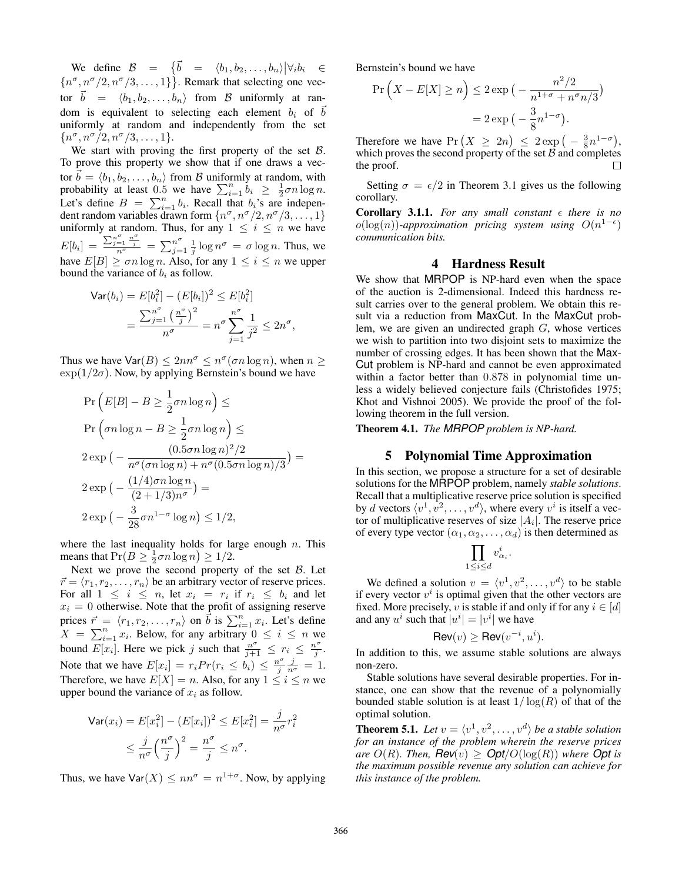We define  $\mathcal{B} = \{ \vec{b} = \langle b_1, b_2, \dots, b_n \rangle | \forall_i b_i \in \mathcal{B}$ <br>  $\sigma_{\alpha} \sigma_{\beta}$  or  $\sigma_{\beta}$  and  $\sigma_{\beta}$  and  $\sigma_{\beta}$  and  $\sigma_{\beta}$  $\{n^{\sigma}, n^{\sigma}/2, n^{\sigma}/3, \ldots, 1\}$ . Remark that selecting one vector  $\vec{b} = \langle b_1, b_2, \dots, b_n \rangle$  from B uniformly at random is equivalent to selecting each element  $b_i$  of  $\vec{b}$ uniformly at random and independently from the set  ${n^{\sigma}, n^{\sigma}/2, n^{\sigma}/3, \ldots, 1}.$ 

We start with proving the first property of the set  $B$ . To prove this property we show that if one draws a vector  $\vec{b} = \langle b_1, b_2, \dots, b_n \rangle$  from B uniformly at random, with probability at least 0.5 we have  $\sum_{i=1}^{n} b_i \ge \frac{1}{2} \sigma n \log n$ . probability at least 0.5 we have  $\sum_{i=1}^{n} b_i \geq \frac{1}{2} \sigma n \log n$ .<br>Let's define  $B = \sum_{i=1}^{n} b_i$ . Becall that b.'s are independent Let's define  $B = \sum_{i=1}^{n} b_i$ . Recall that  $b_i$ 's are independent random variables drawn form  $\{p^\sigma, p^\sigma/2, p^\sigma/3, 1\}$ dent random variables drawn form  $\{n^{\sigma}, n^{\sigma}/2, n^{\sigma}/3, \ldots, 1\}$ <br>uniformly at random. Thus, for any  $1 \leq i \leq n$  we have uniformly at random. Thus, for any  $1 \leq i \leq n$  we have  $E[b_i] = \frac{\sum_{j=1}^{n^{\sigma}} \frac{n^{\sigma}}{j}}{\sum_{\substack{n \text{odd} \\ n \text{ odd}}}^{\infty}} = \sum_{j=1}^{n^{\sigma}} \frac{1}{j} \log n^{\sigma} = \sigma \log n$ . Thus, we have  $E[B] \geq \sigma n \log n$ . Also, for any  $1 \leq i \leq n$  we upper bound the variance of  $h_i$  as follow bound the variance of  $b_i$  as follow.

$$
\begin{aligned} \mathsf{Var}(b_i) &= E[b_i^2] - (E[b_i])^2 \le E[b_i^2] \\ &= \frac{\sum_{j=1}^{n^{\sigma}} \left(\frac{n^{\sigma}}{j}\right)^2}{n^{\sigma}} = n^{\sigma} \sum_{j=1}^{n^{\sigma}} \frac{1}{j^2} \le 2n^{\sigma}, \end{aligned}
$$

Thus we have  $\text{Var}(B) \leq 2nn^{\sigma} \leq n^{\sigma}(\sigma n \log n)$ , when  $n \geq$  $\exp(1/2\sigma)$ . Now, by applying Bernstein's bound we have

$$
\Pr\left(E[B] - B \ge \frac{1}{2}\sigma n \log n\right) \le
$$
\n
$$
\Pr\left(\sigma n \log n - B \ge \frac{1}{2}\sigma n \log n\right) \le
$$
\n
$$
2 \exp\left(-\frac{(0.5\sigma n \log n)^2/2}{n^{\sigma}(\sigma n \log n) + n^{\sigma}(0.5\sigma n \log n)/3}\right) =
$$
\n
$$
2 \exp\left(-\frac{(1/4)\sigma n \log n}{(2+1/3)n^{\sigma}}\right) =
$$
\n
$$
2 \exp\left(-\frac{3}{28}\sigma n^{1-\sigma} \log n\right) \le 1/2,
$$

where the last inequality holds for large enough  $n$ . This means that  $Pr(B \ge \frac{1}{2}\sigma n \log n) \ge 1/2$ .<br>Next we prove the second property

Next we prove the second property of the set  $B$ . Let  $\vec{r} = \langle r_1, r_2, \ldots, r_n \rangle$  be an arbitrary vector of reserve prices.<br>For all  $1 \le i \le n$  let  $r_i = r_i$  if  $r_i \le h_i$  and let For all  $1 \leq i \leq n$ , let  $x_i = r_i$  if  $r_i \leq b_i$  and let  $x_i = 0$  otherwise. Note that the profit of assigning reserve prices  $\vec{r} = \langle r_1, r_2, \dots, r_n \rangle$  on  $\vec{b}$  is  $\sum_{i=1}^n x_i$ . Let's define  $X = \sum_{i=1}^n x_i$  Below for any arbitrary  $0 \le i \le n$  we  $X = \sum_{i=1}^{n} x_i$ . Below, for any arbitrary  $0 \le i \le n$  we<br>bound  $F[x]$ . Here we pick a such that  $n^{\sigma} \le n \le n^{\sigma}$ bound  $E[x_i]$ . Here we pick j such that  $\frac{n^{\sigma}}{j+1} \leq r_i \leq \frac{n^{\sigma}}{j}$ . Note that we have  $E[x_i] = r_i Pr(r_i \le b_i) \le \frac{n^{\sigma}}{j} \frac{j}{n^{\sigma}} = 1.$ <br>Therefore we have  $E[X] = n$ . Also, for any  $1 \le i \le n$  we Therefore, we have  $E[X] = n$ . Also, for any  $1 \le i \le n$  we upper bound the variance of  $x_i$  as follow.

$$
\begin{aligned} \mathsf{Var}(x_i) &= E[x_i^2] - (E[x_i])^2 \le E[x_i^2] = \frac{j}{n^{\sigma}} r_i^2\\ &\le \frac{j}{n^{\sigma}} \left(\frac{n^{\sigma}}{j}\right)^2 = \frac{n^{\sigma}}{j} \le n^{\sigma}. \end{aligned}
$$

Thus, we have  $\text{Var}(X) \leq nn^{\sigma} = n^{1+\sigma}$ . Now, by applying

Bernstein's bound we have

$$
\Pr\left(X - E[X] \ge n\right) \le 2 \exp\left(-\frac{n^2/2}{n^{1+\sigma} + n^{\sigma}n/3}\right)
$$

$$
= 2 \exp\left(-\frac{3}{8}n^{1-\sigma}\right).
$$

Therefore we have  $Pr(X \ge 2n) \le 2 \exp(-\frac{3}{8}n^{1-\sigma})$ ,<br>which proves the second property of the set B and completes which proves the second property of the set  $\beta$  and completes  $\Box$ the proof.

Setting  $\sigma = \epsilon/2$  in Theorem 3.1 gives us the following corollary.

**Corollary 3.1.1.** For any small constant  $\epsilon$  there is no  $o(log(n))$ -approximation pricing system using  $O(n^{1-\epsilon})$ *communication bits.*

### 4 Hardness Result

We show that MRPOP is NP-hard even when the space of the auction is 2-dimensional. Indeed this hardness result carries over to the general problem. We obtain this result via a reduction from MaxCut. In the MaxCut problem, we are given an undirected graph  $G$ , whose vertices we wish to partition into two disjoint sets to maximize the number of crossing edges. It has been shown that the Max-Cut problem is NP-hard and cannot be even approximated within a factor better than 0.878 in polynomial time unless a widely believed conjecture fails (Christofides 1975; Khot and Vishnoi 2005). We provide the proof of the following theorem in the full version.

Theorem 4.1. *The MRPOP problem is NP-hard.*

#### 5 Polynomial Time Approximation

In this section, we propose a structure for a set of desirable solutions for the MRPOP problem, namely *stable solutions*. Recall that a multiplicative reserve price solution is specified by d vectors  $\langle v^1, v^2, \ldots, v^d \rangle$ , where every  $v^i$  is itself a vector of multiplicative reserves of size  $|A_i|$ . The reserve price of every type vector  $(\alpha_1, \alpha_2, \dots, \alpha_d)$  is then determined as

$$
\prod_{1\leq i\leq d}v^i_{\alpha_i}.
$$

We defined a solution  $v = \langle v^1, v^2, \dots, v^d \rangle$  to be stable<br>every vector  $v^i$  is optimal given that the other vectors are if every vector  $v^i$  is optimal given that the other vectors are fixed. More precisely, v is stable if and only if for any  $i \in [d]$ and any  $u^i$  such that  $|u^i| = |v^i|$  we have

$$
\mathsf{Rev}(v) \ge \mathsf{Rev}(v^{-i}, u^i).
$$

 $\mathsf{Rev}(v) \geq \mathsf{Rev}(v^{-i}, u^i).$ <br>In addition to this, we assume stable solutions are always non-zero.

Stable solutions have several desirable properties. For instance, one can show that the revenue of a polynomially bounded stable solution is at least  $1/\log(R)$  of that of the optimal solution.

**Theorem 5.1.** Let  $v = \langle v^1, v^2, \ldots, v^d \rangle$  be a stable solution for an instance of the problem wherein the reserve prices *for an instance of the problem wherein the reserve prices are*  $O(R)$ *. Then,*  $\text{Rev}(v) \geq \text{Opt}/O(\log(R))$  *where*  $\text{Opt}$  *is the maximum possible revenue any solution can achieve for this instance of the problem.*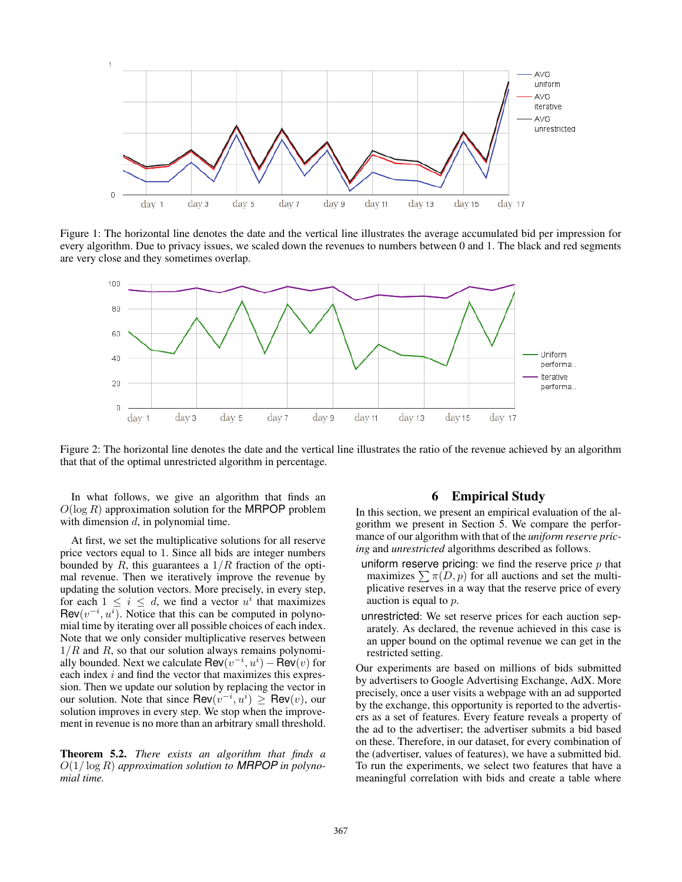

Figure 1: The horizontal line denotes the date and the vertical line illustrates the average accumulated bid per impression for every algorithm. Due to privacy issues, we scaled down the revenues to numbers between 0 and 1. The black and red segments are very close and they sometimes overlap.



Figure 2: The horizontal line denotes the date and the vertical line illustrates the ratio of the revenue achieved by an algorithm that that of the optimal unrestricted algorithm in percentage.

In what follows, we give an algorithm that finds an  $O(\log R)$  approximation solution for the MRPOP problem with dimension  $d$ , in polynomial time.

At first, we set the multiplicative solutions for all reserve price vectors equal to 1. Since all bids are integer numbers bounded by R, this guarantees a  $1/R$  fraction of the optimal revenue. Then we iteratively improve the revenue by updating the solution vectors. More precisely, in every step, for each  $1 \leq i \leq d$ , we find a vector  $u^i$  that maximizes  $\textsf{Rev}(v^{-i}, u^{i})$ . Notice that this can be computed in polynomial time by iterating over all possible choices of each index mial time by iterating over all possible choices of each index. Note that we only consider multiplicative reserves between  $1/R$  and R, so that our solution always remains polynomially bounded. Next we calculate  $\text{Rev}(v^{-i}, u^{i}) - \text{Rev}(v)$  for each index i and find the vector that maximizes this expreseach index  $i$  and find the vector that maximizes this expression. Then we update our solution by replacing the vector in our solution. Note that since  $\overline{\text{Rev}(v^{-i}, u^i)} \ge \overline{\text{Rev}(v)}$ , our solution improves in every step. We stop when the improvesolution improves in every step. We stop when the improvement in revenue is no more than an arbitrary small threshold.

Theorem 5.2. *There exists an algorithm that finds a* <sup>O</sup>(1/ log <sup>R</sup>) *approximation solution to MRPOP in polynomial time.*

# 6 Empirical Study

In this section, we present an empirical evaluation of the algorithm we present in Section 5. We compare the performance of our algorithm with that of the *uniform reserve pricing* and *unrestricted* algorithms described as follows.

- uniform reserve pricing: we find the reserve price  $p$  that maximizes  $\sum \pi(D, p)$  for all auctions and set the multiplicative reserves in a way that the reserve price of every auction is equal to p.
- unrestricted: We set reserve prices for each auction separately. As declared, the revenue achieved in this case is an upper bound on the optimal revenue we can get in the restricted setting.

Our experiments are based on millions of bids submitted by advertisers to Google Advertising Exchange, AdX. More precisely, once a user visits a webpage with an ad supported by the exchange, this opportunity is reported to the advertisers as a set of features. Every feature reveals a property of the ad to the advertiser; the advertiser submits a bid based on these. Therefore, in our dataset, for every combination of the (advertiser, values of features), we have a submitted bid. To run the experiments, we select two features that have a meaningful correlation with bids and create a table where